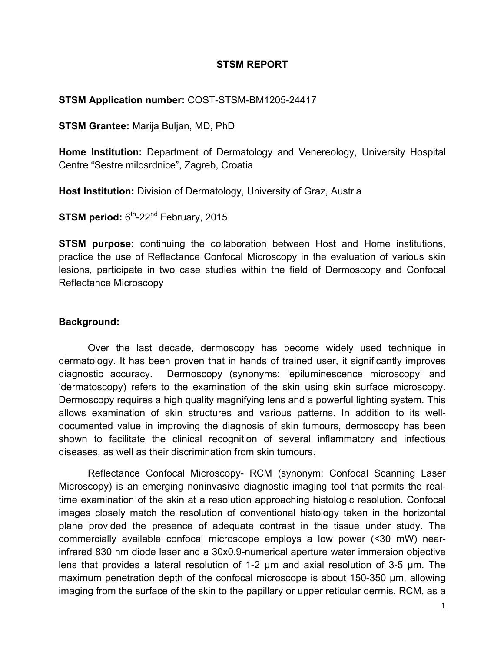### **STSM REPORT**

#### **STSM Application number:** COST-STSM-BM1205-24417

**STSM Grantee:** Marija Buljan, MD, PhD

**Home Institution:** Department of Dermatology and Venereology, University Hospital Centre "Sestre milosrdnice", Zagreb, Croatia

**Host Institution:** Division of Dermatology, University of Graz, Austria

**STSM period: 6<sup>th</sup>-22<sup>nd</sup> February, 2015** 

**STSM purpose:** continuing the collaboration between Host and Home institutions, practice the use of Reflectance Confocal Microscopy in the evaluation of various skin lesions, participate in two case studies within the field of Dermoscopy and Confocal Reflectance Microscopy

#### **Background:**

Over the last decade, dermoscopy has become widely used technique in dermatology. It has been proven that in hands of trained user, it significantly improves diagnostic accuracy. Dermoscopy (synonyms: 'epiluminescence microscopy' and 'dermatoscopy) refers to the examination of the skin using skin surface microscopy. Dermoscopy requires a high quality magnifying lens and a powerful lighting system. This allows examination of skin structures and various patterns. In addition to its welldocumented value in improving the diagnosis of skin tumours, dermoscopy has been shown to facilitate the clinical recognition of several inflammatory and infectious diseases, as well as their discrimination from skin tumours.

Reflectance Confocal Microscopy- RCM (synonym: Confocal Scanning Laser Microscopy) is an emerging noninvasive diagnostic imaging tool that permits the realtime examination of the skin at a resolution approaching histologic resolution. Confocal images closely match the resolution of conventional histology taken in the horizontal plane provided the presence of adequate contrast in the tissue under study. The commercially available confocal microscope employs a low power (<30 mW) nearinfrared 830 nm diode laser and a 30x0.9-numerical aperture water immersion objective lens that provides a lateral resolution of 1-2 µm and axial resolution of 3-5 µm. The maximum penetration depth of the confocal microscope is about 150-350 µm, allowing imaging from the surface of the skin to the papillary or upper reticular dermis. RCM, as a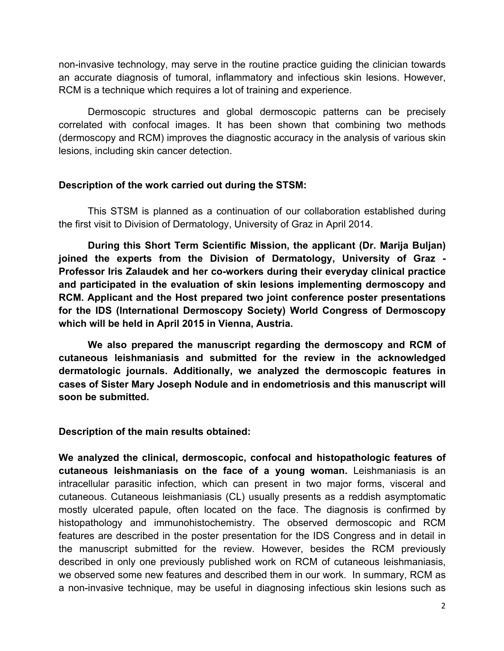non-invasive technology, may serve in the routine practice guiding the clinician towards an accurate diagnosis of tumoral, inflammatory and infectious skin lesions. However, RCM is a technique which requires a lot of training and experience.

Dermoscopic structures and global dermoscopic patterns can be precisely correlated with confocal images. It has been shown that combining two methods (dermoscopy and RCM) improves the diagnostic accuracy in the analysis of various skin lesions, including skin cancer detection.

### **Description of the work carried out during the STSM:**

This STSM is planned as a continuation of our collaboration established during the first visit to Division of Dermatology, University of Graz in April 2014.

**During this Short Term Scientific Mission, the applicant (Dr. Marija Buljan) joined the experts from the Division of Dermatology, University of Graz - Professor Iris Zalaudek and her co-workers during their everyday clinical practice and participated in the evaluation of skin lesions implementing dermoscopy and RCM. Applicant and the Host prepared two joint conference poster presentations for the IDS (International Dermoscopy Society) World Congress of Dermoscopy which will be held in April 2015 in Vienna, Austria.** 

**We also prepared the manuscript regarding the dermoscopy and RCM of cutaneous leishmaniasis and submitted for the review in the acknowledged dermatologic journals. Additionally, we analyzed the dermoscopic features in cases of Sister Mary Joseph Nodule and in endometriosis and this manuscript will soon be submitted.**

**Description of the main results obtained:**

**We analyzed the clinical, dermoscopic, confocal and histopathologic features of cutaneous leishmaniasis on the face of a young woman.** Leishmaniasis is an intracellular parasitic infection, which can present in two major forms, visceral and cutaneous. Cutaneous leishmaniasis (CL) usually presents as a reddish asymptomatic mostly ulcerated papule, often located on the face. The diagnosis is confirmed by histopathology and immunohistochemistry. The observed dermoscopic and RCM features are described in the poster presentation for the IDS Congress and in detail in the manuscript submitted for the review. However, besides the RCM previously described in only one previously published work on RCM of cutaneous leishmaniasis, we observed some new features and described them in our work. In summary, RCM as a non-invasive technique, may be useful in diagnosing infectious skin lesions such as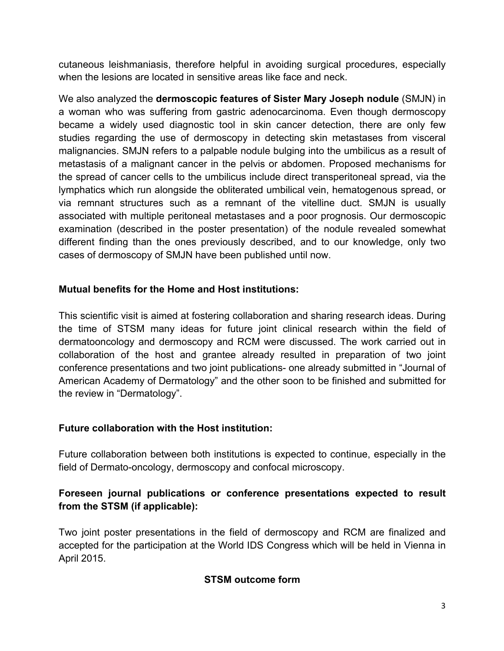cutaneous leishmaniasis, therefore helpful in avoiding surgical procedures, especially when the lesions are located in sensitive areas like face and neck.

We also analyzed the **dermoscopic features of Sister Mary Joseph nodule** (SMJN) in a woman who was suffering from gastric adenocarcinoma. Even though dermoscopy became a widely used diagnostic tool in skin cancer detection, there are only few studies regarding the use of dermoscopy in detecting skin metastases from visceral malignancies. SMJN refers to a palpable nodule bulging into the umbilicus as a result of metastasis of a malignant cancer in the pelvis or abdomen. Proposed mechanisms for the spread of cancer cells to the umbilicus include direct transperitoneal spread, via the lymphatics which run alongside the obliterated umbilical vein, hematogenous spread, or via remnant structures such as a remnant of the vitelline duct. SMJN is usually associated with multiple peritoneal metastases and a poor prognosis. Our dermoscopic examination (described in the poster presentation) of the nodule revealed somewhat different finding than the ones previously described, and to our knowledge, only two cases of dermoscopy of SMJN have been published until now.

# **Mutual benefits for the Home and Host institutions:**

This scientific visit is aimed at fostering collaboration and sharing research ideas. During the time of STSM many ideas for future joint clinical research within the field of dermatooncology and dermoscopy and RCM were discussed. The work carried out in collaboration of the host and grantee already resulted in preparation of two joint conference presentations and two joint publications- one already submitted in "Journal of American Academy of Dermatology" and the other soon to be finished and submitted for the review in "Dermatology".

### **Future collaboration with the Host institution:**

Future collaboration between both institutions is expected to continue, especially in the field of Dermato-oncology, dermoscopy and confocal microscopy.

## **Foreseen journal publications or conference presentations expected to result from the STSM (if applicable):**

Two joint poster presentations in the field of dermoscopy and RCM are finalized and accepted for the participation at the World IDS Congress which will be held in Vienna in April 2015.

# **STSM outcome form**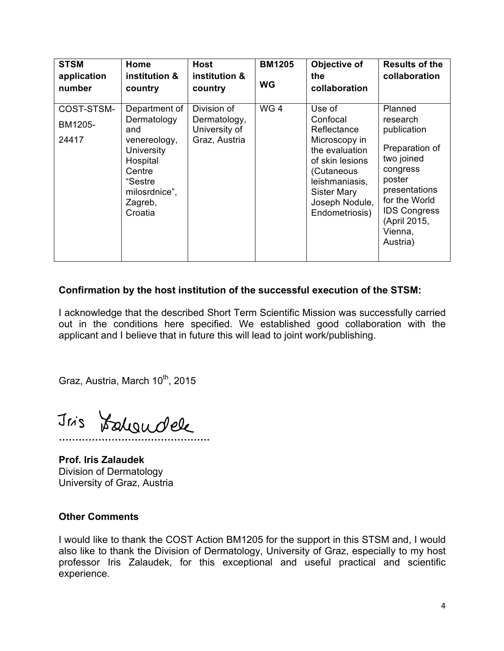| <b>STSM</b><br>application<br>number | Home<br>institution &<br>country                                                                                                          | <b>Host</b><br>institution &<br>country                       | <b>BM1205</b><br><b>WG</b> | Objective of<br>the<br>collaboration                                                                                                                                              | <b>Results of the</b><br>collaboration                                                                                                                                                   |
|--------------------------------------|-------------------------------------------------------------------------------------------------------------------------------------------|---------------------------------------------------------------|----------------------------|-----------------------------------------------------------------------------------------------------------------------------------------------------------------------------------|------------------------------------------------------------------------------------------------------------------------------------------------------------------------------------------|
| COST-STSM-<br>BM1205-<br>24417       | Department of<br>Dermatology<br>and<br>venereology,<br>University<br>Hospital<br>Centre<br>"Sestre<br>milosrdnice",<br>Zagreb,<br>Croatia | Division of<br>Dermatology,<br>University of<br>Graz, Austria | WG <sub>4</sub>            | Use of<br>Confocal<br>Reflectance<br>Microscopy in<br>the evaluation<br>of skin lesions<br>(Cutaneous<br>leishmaniasis,<br><b>Sister Mary</b><br>Joseph Nodule,<br>Endometriosis) | Planned<br>research<br>publication<br>Preparation of<br>two joined<br>congress<br>poster<br>presentations<br>for the World<br><b>IDS Congress</b><br>(April 2015,<br>Vienna,<br>Austria) |

#### **Confirmation by the host institution of the successful execution of the STSM:**

I acknowledge that the described Short Term Scientific Mission was successfully carried out in the conditions here specified. We established good collaboration with the applicant and I believe that in future this will lead to joint work/publishing.

Graz, Austria, March 10<sup>th</sup>, 2015

**……………………………………….**

**Prof. Iris Zalaudek** Division of Dermatology University of Graz, Austria

#### **Other Comments**

I would like to thank the COST Action BM1205 for the support in this STSM and, I would also like to thank the Division of Dermatology, University of Graz, especially to my host professor Iris Zalaudek, for this exceptional and useful practical and scientific experience.